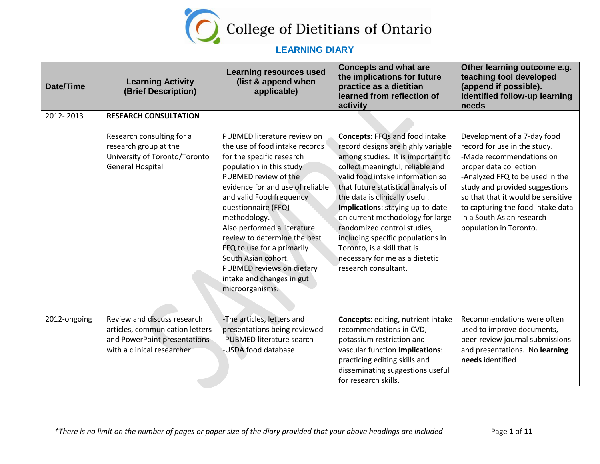

| <b>Date/Time</b> | <b>Learning Activity</b><br>(Brief Description)                                                                                                | <b>Learning resources used</b><br>(list & append when<br>applicable)                                                                                                                                                                                                                                                                                                                                                                                   | <b>Concepts and what are</b><br>the implications for future<br>practice as a dietitian<br>learned from reflection of<br>activity                                                                                                                                                                                                                                                                                                                                                                       | Other learning outcome e.g.<br>teaching tool developed<br>(append if possible).<br>Identified follow-up learning<br>needs                                                                                                                                                                                                |
|------------------|------------------------------------------------------------------------------------------------------------------------------------------------|--------------------------------------------------------------------------------------------------------------------------------------------------------------------------------------------------------------------------------------------------------------------------------------------------------------------------------------------------------------------------------------------------------------------------------------------------------|--------------------------------------------------------------------------------------------------------------------------------------------------------------------------------------------------------------------------------------------------------------------------------------------------------------------------------------------------------------------------------------------------------------------------------------------------------------------------------------------------------|--------------------------------------------------------------------------------------------------------------------------------------------------------------------------------------------------------------------------------------------------------------------------------------------------------------------------|
| 2012-2013        | <b>RESEARCH CONSULTATION</b><br>Research consulting for a<br>research group at the<br>University of Toronto/Toronto<br><b>General Hospital</b> | PUBMED literature review on<br>the use of food intake records<br>for the specific research<br>population in this study<br>PUBMED review of the<br>evidence for and use of reliable<br>and valid Food frequency<br>questionnaire (FFQ)<br>methodology.<br>Also performed a literature<br>review to determine the best<br>FFQ to use for a primarily<br>South Asian cohort.<br>PUBMED reviews on dietary<br>intake and changes in gut<br>microorganisms. | <b>Concepts: FFQs and food intake</b><br>record designs are highly variable<br>among studies. It is important to<br>collect meaningful, reliable and<br>valid food intake information so<br>that future statistical analysis of<br>the data is clinically useful.<br>Implications: staying up-to-date<br>on current methodology for large<br>randomized control studies,<br>including specific populations in<br>Toronto, is a skill that is<br>necessary for me as a dietetic<br>research consultant. | Development of a 7-day food<br>record for use in the study.<br>-Made recommendations on<br>proper data collection<br>-Analyzed FFQ to be used in the<br>study and provided suggestions<br>so that that it would be sensitive<br>to capturing the food intake data<br>in a South Asian research<br>population in Toronto. |
| 2012-ongoing     | Review and discuss research<br>articles, communication letters<br>and PowerPoint presentations<br>with a clinical researcher                   | -The articles, letters and<br>presentations being reviewed<br>-PUBMED literature search<br>-USDA food database                                                                                                                                                                                                                                                                                                                                         | Concepts: editing, nutrient intake<br>recommendations in CVD,<br>potassium restriction and<br>vascular function Implications:<br>practicing editing skills and<br>disseminating suggestions useful<br>for research skills.                                                                                                                                                                                                                                                                             | Recommendations were often<br>used to improve documents,<br>peer-review journal submissions<br>and presentations. No learning<br>needs identified                                                                                                                                                                        |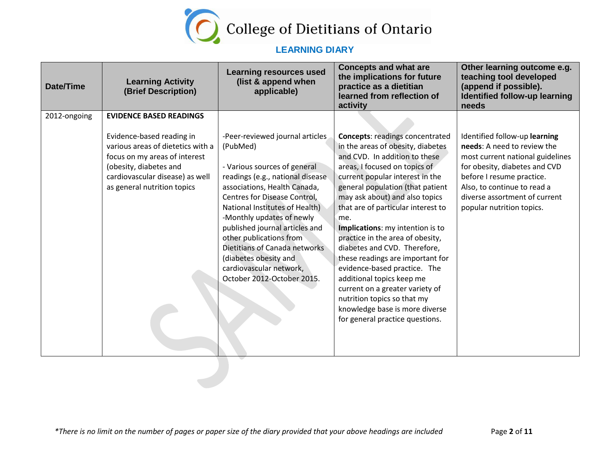

| <b>Date/Time</b> | <b>Learning Activity</b><br>(Brief Description)                                                                                                                                                                               | <b>Learning resources used</b><br>(list & append when<br>applicable)                                                                                                                                                                                                                                                                                                  | <b>Concepts and what are</b><br>the implications for future<br>practice as a dietitian<br>learned from reflection of<br>activity                                                                                                                                                                                                                                                                                                                | Other learning outcome e.g.<br>teaching tool developed<br>(append if possible).<br>Identified follow-up learning<br>needs                                                                                                                                   |
|------------------|-------------------------------------------------------------------------------------------------------------------------------------------------------------------------------------------------------------------------------|-----------------------------------------------------------------------------------------------------------------------------------------------------------------------------------------------------------------------------------------------------------------------------------------------------------------------------------------------------------------------|-------------------------------------------------------------------------------------------------------------------------------------------------------------------------------------------------------------------------------------------------------------------------------------------------------------------------------------------------------------------------------------------------------------------------------------------------|-------------------------------------------------------------------------------------------------------------------------------------------------------------------------------------------------------------------------------------------------------------|
| 2012-ongoing     | <b>EVIDENCE BASED READINGS</b><br>Evidence-based reading in<br>various areas of dietetics with a<br>focus on my areas of interest<br>(obesity, diabetes and<br>cardiovascular disease) as well<br>as general nutrition topics | -Peer-reviewed journal articles<br>(PubMed)<br>- Various sources of general<br>readings (e.g., national disease<br>associations, Health Canada,<br>Centres for Disease Control,<br>National Institutes of Health)<br>-Monthly updates of newly<br>published journal articles and<br>other publications from<br>Dietitians of Canada networks<br>(diabetes obesity and | <b>Concepts: readings concentrated</b><br>in the areas of obesity, diabetes<br>and CVD. In addition to these<br>areas, I focused on topics of<br>current popular interest in the<br>general population (that patient<br>may ask about) and also topics<br>that are of particular interest to<br>me.<br>Implications: my intention is to<br>practice in the area of obesity,<br>diabetes and CVD. Therefore,<br>these readings are important for | Identified follow-up learning<br>needs: A need to review the<br>most current national guidelines<br>for obesity, diabetes and CVD<br>before I resume practice.<br>Also, to continue to read a<br>diverse assortment of current<br>popular nutrition topics. |
|                  |                                                                                                                                                                                                                               | cardiovascular network,<br>October 2012-October 2015.                                                                                                                                                                                                                                                                                                                 | evidence-based practice. The<br>additional topics keep me<br>current on a greater variety of<br>nutrition topics so that my<br>knowledge base is more diverse<br>for general practice questions.                                                                                                                                                                                                                                                |                                                                                                                                                                                                                                                             |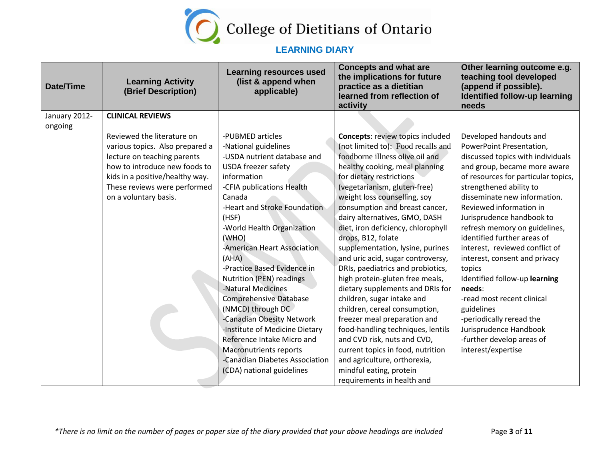

| <b>Date/Time</b> | <b>Learning Activity</b><br>(Brief Description) | <b>Learning resources used</b><br>(list & append when<br>applicable) | <b>Concepts and what are</b><br>the implications for future<br>practice as a dietitian<br>learned from reflection of<br>activity | Other learning outcome e.g.<br>teaching tool developed<br>(append if possible).<br><b>Identified follow-up learning</b><br>needs |
|------------------|-------------------------------------------------|----------------------------------------------------------------------|----------------------------------------------------------------------------------------------------------------------------------|----------------------------------------------------------------------------------------------------------------------------------|
| January 2012-    | <b>CLINICAL REVIEWS</b>                         |                                                                      |                                                                                                                                  |                                                                                                                                  |
| ongoing          |                                                 |                                                                      |                                                                                                                                  |                                                                                                                                  |
|                  | Reviewed the literature on                      | -PUBMED articles                                                     | <b>Concepts: review topics included</b>                                                                                          | Developed handouts and                                                                                                           |
|                  | various topics. Also prepared a                 | -National guidelines                                                 | (not limited to): Food recalls and                                                                                               | PowerPoint Presentation,                                                                                                         |
|                  | lecture on teaching parents                     | -USDA nutrient database and                                          | foodborne illness olive oil and                                                                                                  | discussed topics with individuals                                                                                                |
|                  | how to introduce new foods to                   | <b>USDA</b> freezer safety                                           | healthy cooking, meal planning                                                                                                   | and group, became more aware                                                                                                     |
|                  | kids in a positive/healthy way.                 | information                                                          | for dietary restrictions                                                                                                         | of resources for particular topics,                                                                                              |
|                  | These reviews were performed                    | -CFIA publications Health                                            | (vegetarianism, gluten-free)                                                                                                     | strengthened ability to                                                                                                          |
|                  | on a voluntary basis.                           | Canada                                                               | weight loss counselling, soy                                                                                                     | disseminate new information.                                                                                                     |
|                  |                                                 | -Heart and Stroke Foundation                                         | consumption and breast cancer,                                                                                                   | Reviewed information in                                                                                                          |
|                  |                                                 | (HSF)                                                                | dairy alternatives, GMO, DASH                                                                                                    | Jurisprudence handbook to                                                                                                        |
|                  |                                                 | -World Health Organization                                           | diet, iron deficiency, chlorophyll                                                                                               | refresh memory on guidelines,                                                                                                    |
|                  |                                                 | (WHO)                                                                | drops, B12, folate                                                                                                               | identified further areas of                                                                                                      |
|                  |                                                 | -American Heart Association                                          | supplementation, lysine, purines                                                                                                 | interest, reviewed conflict of                                                                                                   |
|                  |                                                 | (AHA)                                                                | and uric acid, sugar controversy,                                                                                                | interest, consent and privacy                                                                                                    |
|                  |                                                 | -Practice Based Evidence in                                          | DRIs, paediatrics and probiotics,                                                                                                | topics                                                                                                                           |
|                  |                                                 | <b>Nutrition (PEN) readings</b>                                      | high protein-gluten free meals,                                                                                                  | Identified follow-up learning                                                                                                    |
|                  |                                                 | -Natural Medicines                                                   | dietary supplements and DRIs for                                                                                                 | needs:                                                                                                                           |
|                  |                                                 | <b>Comprehensive Database</b>                                        | children, sugar intake and                                                                                                       | -read most recent clinical                                                                                                       |
|                  |                                                 | (NMCD) through DC                                                    | children, cereal consumption,                                                                                                    | guidelines                                                                                                                       |
|                  |                                                 | -Canadian Obesity Network                                            | freezer meal preparation and                                                                                                     | -periodically reread the                                                                                                         |
|                  |                                                 | -Institute of Medicine Dietary                                       | food-handling techniques, lentils                                                                                                | Jurisprudence Handbook                                                                                                           |
|                  |                                                 | Reference Intake Micro and                                           | and CVD risk, nuts and CVD,                                                                                                      | -further develop areas of                                                                                                        |
|                  |                                                 | <b>Macronutrients reports</b>                                        | current topics in food, nutrition                                                                                                | interest/expertise                                                                                                               |
|                  |                                                 | -Canadian Diabetes Association                                       | and agriculture, orthorexia,                                                                                                     |                                                                                                                                  |
|                  |                                                 | (CDA) national guidelines                                            | mindful eating, protein                                                                                                          |                                                                                                                                  |
|                  |                                                 |                                                                      | requirements in health and                                                                                                       |                                                                                                                                  |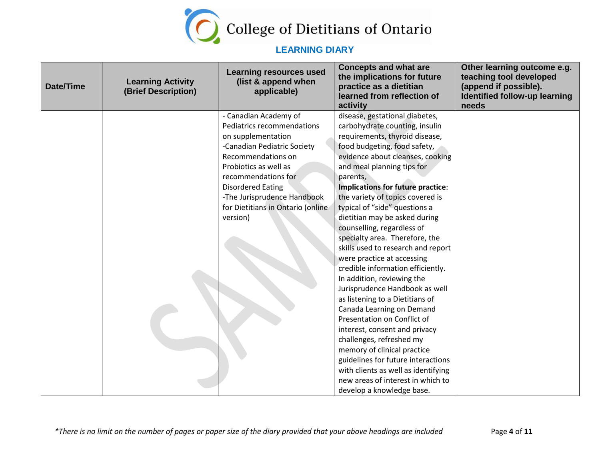

| Date/Time | <b>Learning Activity</b><br>(Brief Description) | <b>Learning resources used</b><br>(list & append when<br>applicable) | <b>Concepts and what are</b><br>the implications for future<br>practice as a dietitian<br>learned from reflection of<br>activity | Other learning outcome e.g.<br>teaching tool developed<br>(append if possible).<br>Identified follow-up learning<br>needs |
|-----------|-------------------------------------------------|----------------------------------------------------------------------|----------------------------------------------------------------------------------------------------------------------------------|---------------------------------------------------------------------------------------------------------------------------|
|           |                                                 | - Canadian Academy of                                                | disease, gestational diabetes,                                                                                                   |                                                                                                                           |
|           |                                                 | Pediatrics recommendations                                           | carbohydrate counting, insulin                                                                                                   |                                                                                                                           |
|           |                                                 | on supplementation                                                   | requirements, thyroid disease,                                                                                                   |                                                                                                                           |
|           |                                                 | -Canadian Pediatric Society                                          | food budgeting, food safety,                                                                                                     |                                                                                                                           |
|           |                                                 | Recommendations on                                                   | evidence about cleanses, cooking                                                                                                 |                                                                                                                           |
|           |                                                 | Probiotics as well as                                                | and meal planning tips for                                                                                                       |                                                                                                                           |
|           |                                                 | recommendations for                                                  | parents,                                                                                                                         |                                                                                                                           |
|           |                                                 | <b>Disordered Eating</b>                                             | Implications for future practice:                                                                                                |                                                                                                                           |
|           |                                                 | -The Jurisprudence Handbook                                          | the variety of topics covered is                                                                                                 |                                                                                                                           |
|           |                                                 | for Dietitians in Ontario (online                                    | typical of "side" questions a                                                                                                    |                                                                                                                           |
|           |                                                 | version)                                                             | dietitian may be asked during                                                                                                    |                                                                                                                           |
|           |                                                 |                                                                      | counselling, regardless of                                                                                                       |                                                                                                                           |
|           |                                                 |                                                                      | specialty area. Therefore, the                                                                                                   |                                                                                                                           |
|           |                                                 |                                                                      | skills used to research and report                                                                                               |                                                                                                                           |
|           |                                                 |                                                                      | were practice at accessing                                                                                                       |                                                                                                                           |
|           |                                                 |                                                                      | credible information efficiently.                                                                                                |                                                                                                                           |
|           |                                                 |                                                                      | In addition, reviewing the                                                                                                       |                                                                                                                           |
|           |                                                 |                                                                      | Jurisprudence Handbook as well                                                                                                   |                                                                                                                           |
|           |                                                 |                                                                      | as listening to a Dietitians of                                                                                                  |                                                                                                                           |
|           |                                                 |                                                                      | Canada Learning on Demand<br>Presentation on Conflict of                                                                         |                                                                                                                           |
|           |                                                 |                                                                      |                                                                                                                                  |                                                                                                                           |
|           |                                                 |                                                                      | interest, consent and privacy<br>challenges, refreshed my                                                                        |                                                                                                                           |
|           |                                                 |                                                                      |                                                                                                                                  |                                                                                                                           |
|           |                                                 |                                                                      | memory of clinical practice<br>guidelines for future interactions                                                                |                                                                                                                           |
|           |                                                 |                                                                      | with clients as well as identifying                                                                                              |                                                                                                                           |
|           |                                                 |                                                                      | new areas of interest in which to                                                                                                |                                                                                                                           |
|           |                                                 |                                                                      | develop a knowledge base.                                                                                                        |                                                                                                                           |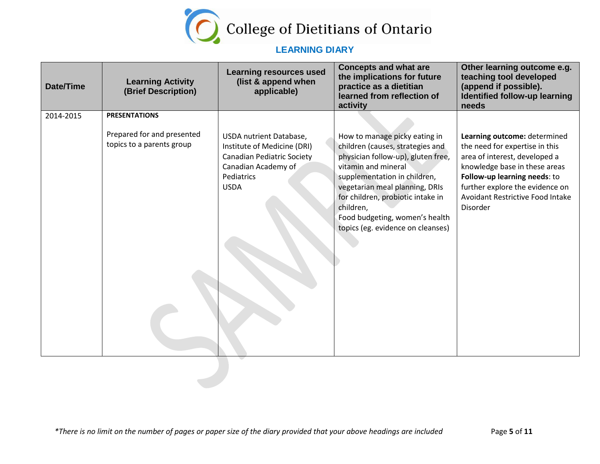

| <b>Date/Time</b> | <b>Learning Activity</b><br>(Brief Description)         | <b>Learning resources used</b><br>(list & append when<br>applicable)                                                                     | <b>Concepts and what are</b><br>the implications for future<br>practice as a dietitian<br>learned from reflection of<br>activity                                                                                                                                                                                          | Other learning outcome e.g.<br>teaching tool developed<br>(append if possible).<br>Identified follow-up learning<br>needs                                                                                                                                  |
|------------------|---------------------------------------------------------|------------------------------------------------------------------------------------------------------------------------------------------|---------------------------------------------------------------------------------------------------------------------------------------------------------------------------------------------------------------------------------------------------------------------------------------------------------------------------|------------------------------------------------------------------------------------------------------------------------------------------------------------------------------------------------------------------------------------------------------------|
| 2014-2015        | <b>PRESENTATIONS</b>                                    |                                                                                                                                          |                                                                                                                                                                                                                                                                                                                           |                                                                                                                                                                                                                                                            |
|                  | Prepared for and presented<br>topics to a parents group | USDA nutrient Database,<br>Institute of Medicine (DRI)<br>Canadian Pediatric Society<br>Canadian Academy of<br>Pediatrics<br><b>USDA</b> | How to manage picky eating in<br>children (causes, strategies and<br>physician follow-up), gluten free,<br>vitamin and mineral<br>supplementation in children,<br>vegetarian meal planning, DRIs<br>for children, probiotic intake in<br>children,<br>Food budgeting, women's health<br>topics (eg. evidence on cleanses) | Learning outcome: determined<br>the need for expertise in this<br>area of interest, developed a<br>knowledge base in these areas<br>Follow-up learning needs: to<br>further explore the evidence on<br><b>Avoidant Restrictive Food Intake</b><br>Disorder |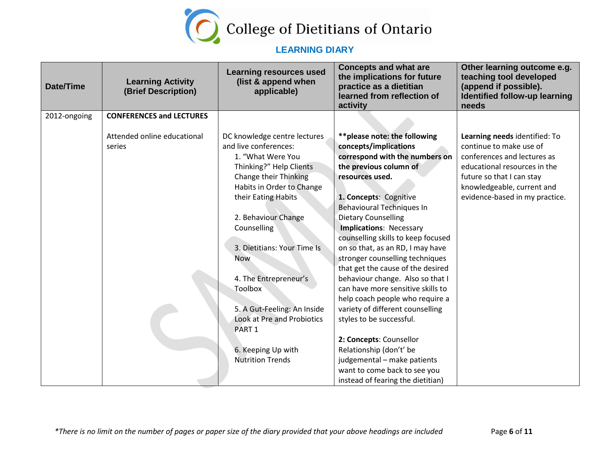

| Date/Time    | <b>Learning Activity</b><br>(Brief Description) | <b>Learning resources used</b><br>(list & append when<br>applicable)                                                                                                                                                                                                                                                                                                                                                                                | <b>Concepts and what are</b><br>the implications for future<br>practice as a dietitian<br>learned from reflection of<br>activity                                                                                                                                                                                                                                                                                                                                                                                                                                                                                                                                                                                                                     | Other learning outcome e.g.<br>teaching tool developed<br>(append if possible).<br>Identified follow-up learning<br>needs                                                                                            |
|--------------|-------------------------------------------------|-----------------------------------------------------------------------------------------------------------------------------------------------------------------------------------------------------------------------------------------------------------------------------------------------------------------------------------------------------------------------------------------------------------------------------------------------------|------------------------------------------------------------------------------------------------------------------------------------------------------------------------------------------------------------------------------------------------------------------------------------------------------------------------------------------------------------------------------------------------------------------------------------------------------------------------------------------------------------------------------------------------------------------------------------------------------------------------------------------------------------------------------------------------------------------------------------------------------|----------------------------------------------------------------------------------------------------------------------------------------------------------------------------------------------------------------------|
| 2012-ongoing | <b>CONFERENCES and LECTURES</b>                 |                                                                                                                                                                                                                                                                                                                                                                                                                                                     |                                                                                                                                                                                                                                                                                                                                                                                                                                                                                                                                                                                                                                                                                                                                                      |                                                                                                                                                                                                                      |
|              | Attended online educational<br>series           | DC knowledge centre lectures<br>and live conferences:<br>1. "What Were You<br>Thinking?" Help Clients<br>Change their Thinking<br>Habits in Order to Change<br>their Eating Habits<br>2. Behaviour Change<br>Counselling<br>3. Dietitians: Your Time Is<br><b>Now</b><br>4. The Entrepreneur's<br><b>Toolbox</b><br>5. A Gut-Feeling: An Inside<br>Look at Pre and Probiotics<br>PART <sub>1</sub><br>6. Keeping Up with<br><b>Nutrition Trends</b> | ** please note: the following<br>concepts/implications<br>correspond with the numbers on<br>the previous column of<br>resources used.<br>1. Concepts: Cognitive<br><b>Behavioural Techniques In</b><br><b>Dietary Counselling</b><br>Implications: Necessary<br>counselling skills to keep focused<br>on so that, as an RD, I may have<br>stronger counselling techniques<br>that get the cause of the desired<br>behaviour change. Also so that I<br>can have more sensitive skills to<br>help coach people who require a<br>variety of different counselling<br>styles to be successful.<br>2: Concepts: Counsellor<br>Relationship (don't' be<br>judgemental - make patients<br>want to come back to see you<br>instead of fearing the dietitian) | Learning needs identified: To<br>continue to make use of<br>conferences and lectures as<br>educational resources in the<br>future so that I can stay<br>knowledgeable, current and<br>evidence-based in my practice. |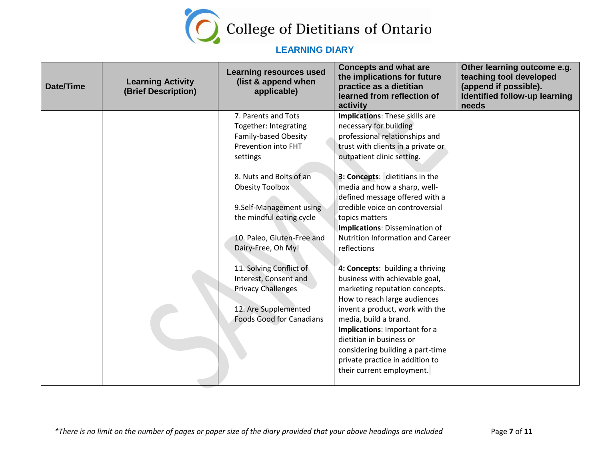

| Date/Time | <b>Learning Activity</b><br>(Brief Description) | <b>Learning resources used</b><br>(list & append when<br>applicable)                                                                                                                           | <b>Concepts and what are</b><br>the implications for future<br>practice as a dietitian<br>learned from reflection of<br>activity                                                                                                                                                                                                                                  | Other learning outcome e.g.<br>teaching tool developed<br>(append if possible).<br>Identified follow-up learning<br>needs |
|-----------|-------------------------------------------------|------------------------------------------------------------------------------------------------------------------------------------------------------------------------------------------------|-------------------------------------------------------------------------------------------------------------------------------------------------------------------------------------------------------------------------------------------------------------------------------------------------------------------------------------------------------------------|---------------------------------------------------------------------------------------------------------------------------|
|           |                                                 | 7. Parents and Tots<br>Together: Integrating<br><b>Family-based Obesity</b><br>Prevention into FHT<br>settings<br>8. Nuts and Bolts of an<br><b>Obesity Toolbox</b><br>9.Self-Management using | Implications: These skills are<br>necessary for building<br>professional relationships and<br>trust with clients in a private or<br>outpatient clinic setting.<br>3: Concepts: dietitians in the<br>media and how a sharp, well-<br>defined message offered with a<br>credible voice on controversial                                                             |                                                                                                                           |
|           |                                                 | the mindful eating cycle<br>10. Paleo, Gluten-Free and<br>Dairy-Free, Oh My!                                                                                                                   | topics matters<br>Implications: Dissemination of<br><b>Nutrition Information and Career</b><br>reflections                                                                                                                                                                                                                                                        |                                                                                                                           |
|           |                                                 | 11. Solving Conflict of<br>Interest, Consent and<br><b>Privacy Challenges</b><br>12. Are Supplemented<br><b>Foods Good for Canadians</b>                                                       | 4: Concepts: building a thriving<br>business with achievable goal,<br>marketing reputation concepts.<br>How to reach large audiences<br>invent a product, work with the<br>media, build a brand.<br>Implications: Important for a<br>dietitian in business or<br>considering building a part-time<br>private practice in addition to<br>their current employment. |                                                                                                                           |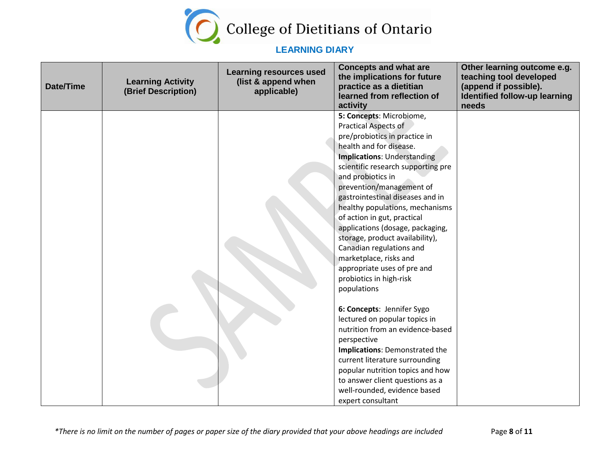

| <b>Date/Time</b> | <b>Learning Activity</b><br>(Brief Description) | <b>Learning resources used</b><br>(list & append when<br>applicable) | <b>Concepts and what are</b><br>the implications for future<br>practice as a dietitian<br>learned from reflection of<br>activity                                                                                                                                                                                                                                                                                                                                                                                                                                                                                                                                                                                                                                                                                                                                 | Other learning outcome e.g.<br>teaching tool developed<br>(append if possible).<br>Identified follow-up learning<br>needs |
|------------------|-------------------------------------------------|----------------------------------------------------------------------|------------------------------------------------------------------------------------------------------------------------------------------------------------------------------------------------------------------------------------------------------------------------------------------------------------------------------------------------------------------------------------------------------------------------------------------------------------------------------------------------------------------------------------------------------------------------------------------------------------------------------------------------------------------------------------------------------------------------------------------------------------------------------------------------------------------------------------------------------------------|---------------------------------------------------------------------------------------------------------------------------|
|                  |                                                 |                                                                      | 5: Concepts: Microbiome,<br>Practical Aspects of<br>pre/probiotics in practice in<br>health and for disease.<br>Implications: Understanding<br>scientific research supporting pre<br>and probiotics in<br>prevention/management of<br>gastrointestinal diseases and in<br>healthy populations, mechanisms<br>of action in gut, practical<br>applications (dosage, packaging,<br>storage, product availability),<br>Canadian regulations and<br>marketplace, risks and<br>appropriate uses of pre and<br>probiotics in high-risk<br>populations<br>6: Concepts: Jennifer Sygo<br>lectured on popular topics in<br>nutrition from an evidence-based<br>perspective<br>Implications: Demonstrated the<br>current literature surrounding<br>popular nutrition topics and how<br>to answer client questions as a<br>well-rounded, evidence based<br>expert consultant |                                                                                                                           |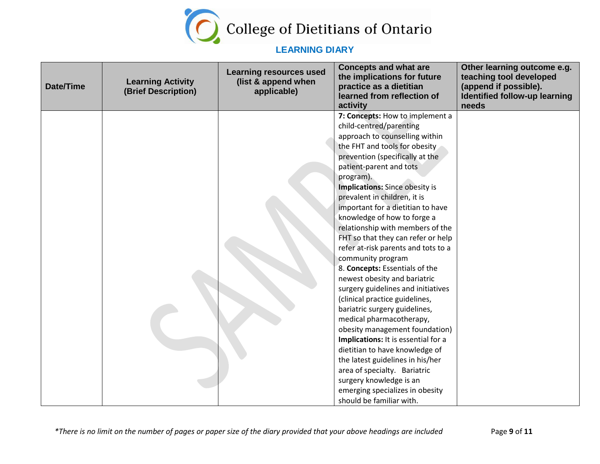

| <b>Date/Time</b> | <b>Learning Activity</b><br>(Brief Description) | <b>Learning resources used</b><br>(list & append when<br>applicable) | <b>Concepts and what are</b><br>the implications for future<br>practice as a dietitian<br>learned from reflection of<br>activity                                                                                                                                                                                                                                                                                                                                                                                                                                                                                                                                                                                                                                                                                                                                                                                                                                            | Other learning outcome e.g.<br>teaching tool developed<br>(append if possible).<br>Identified follow-up learning<br>needs |
|------------------|-------------------------------------------------|----------------------------------------------------------------------|-----------------------------------------------------------------------------------------------------------------------------------------------------------------------------------------------------------------------------------------------------------------------------------------------------------------------------------------------------------------------------------------------------------------------------------------------------------------------------------------------------------------------------------------------------------------------------------------------------------------------------------------------------------------------------------------------------------------------------------------------------------------------------------------------------------------------------------------------------------------------------------------------------------------------------------------------------------------------------|---------------------------------------------------------------------------------------------------------------------------|
|                  |                                                 |                                                                      | 7: Concepts: How to implement a<br>child-centred/parenting<br>approach to counselling within<br>the FHT and tools for obesity<br>prevention (specifically at the<br>patient-parent and tots<br>program).<br><b>Implications:</b> Since obesity is<br>prevalent in children, it is<br>important for a dietitian to have<br>knowledge of how to forge a<br>relationship with members of the<br>FHT so that they can refer or help<br>refer at-risk parents and tots to a<br>community program<br>8. Concepts: Essentials of the<br>newest obesity and bariatric<br>surgery guidelines and initiatives<br>(clinical practice guidelines,<br>bariatric surgery guidelines,<br>medical pharmacotherapy,<br>obesity management foundation)<br>Implications: It is essential for a<br>dietitian to have knowledge of<br>the latest guidelines in his/her<br>area of specialty. Bariatric<br>surgery knowledge is an<br>emerging specializes in obesity<br>should be familiar with. |                                                                                                                           |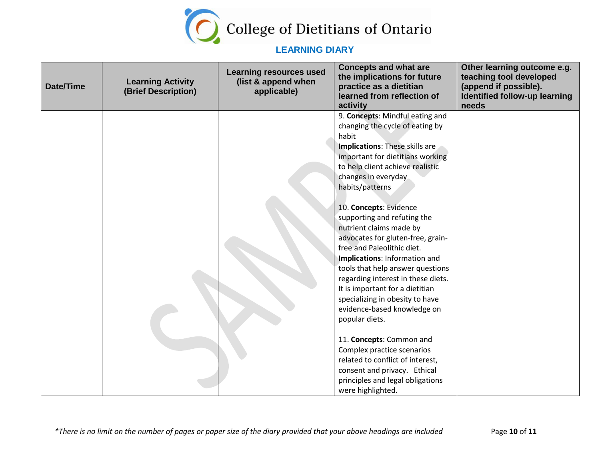

| <b>Date/Time</b> | <b>Learning Activity</b><br>(Brief Description) | <b>Learning resources used</b><br>(list & append when<br>applicable) | <b>Concepts and what are</b><br>the implications for future<br>practice as a dietitian<br>learned from reflection of<br>activity | Other learning outcome e.g.<br>teaching tool developed<br>(append if possible).<br><b>Identified follow-up learning</b><br>needs |
|------------------|-------------------------------------------------|----------------------------------------------------------------------|----------------------------------------------------------------------------------------------------------------------------------|----------------------------------------------------------------------------------------------------------------------------------|
|                  |                                                 |                                                                      | 9. Concepts: Mindful eating and                                                                                                  |                                                                                                                                  |
|                  |                                                 |                                                                      | changing the cycle of eating by                                                                                                  |                                                                                                                                  |
|                  |                                                 |                                                                      | habit                                                                                                                            |                                                                                                                                  |
|                  |                                                 |                                                                      | <b>Implications: These skills are</b>                                                                                            |                                                                                                                                  |
|                  |                                                 |                                                                      | important for dietitians working                                                                                                 |                                                                                                                                  |
|                  |                                                 |                                                                      | to help client achieve realistic<br>changes in everyday                                                                          |                                                                                                                                  |
|                  |                                                 |                                                                      | habits/patterns                                                                                                                  |                                                                                                                                  |
|                  |                                                 |                                                                      |                                                                                                                                  |                                                                                                                                  |
|                  |                                                 |                                                                      | 10. Concepts: Evidence                                                                                                           |                                                                                                                                  |
|                  |                                                 |                                                                      | supporting and refuting the                                                                                                      |                                                                                                                                  |
|                  |                                                 |                                                                      | nutrient claims made by                                                                                                          |                                                                                                                                  |
|                  |                                                 |                                                                      | advocates for gluten-free, grain-                                                                                                |                                                                                                                                  |
|                  |                                                 |                                                                      | free and Paleolithic diet.                                                                                                       |                                                                                                                                  |
|                  |                                                 |                                                                      | Implications: Information and                                                                                                    |                                                                                                                                  |
|                  |                                                 |                                                                      | tools that help answer questions                                                                                                 |                                                                                                                                  |
|                  |                                                 |                                                                      | regarding interest in these diets.                                                                                               |                                                                                                                                  |
|                  |                                                 |                                                                      | It is important for a dietitian                                                                                                  |                                                                                                                                  |
|                  |                                                 |                                                                      | specializing in obesity to have<br>evidence-based knowledge on                                                                   |                                                                                                                                  |
|                  |                                                 |                                                                      | popular diets.                                                                                                                   |                                                                                                                                  |
|                  |                                                 |                                                                      |                                                                                                                                  |                                                                                                                                  |
|                  |                                                 |                                                                      | 11. Concepts: Common and                                                                                                         |                                                                                                                                  |
|                  |                                                 |                                                                      | Complex practice scenarios                                                                                                       |                                                                                                                                  |
|                  |                                                 |                                                                      | related to conflict of interest,                                                                                                 |                                                                                                                                  |
|                  |                                                 |                                                                      | consent and privacy. Ethical                                                                                                     |                                                                                                                                  |
|                  |                                                 |                                                                      | principles and legal obligations                                                                                                 |                                                                                                                                  |
|                  |                                                 |                                                                      | were highlighted.                                                                                                                |                                                                                                                                  |